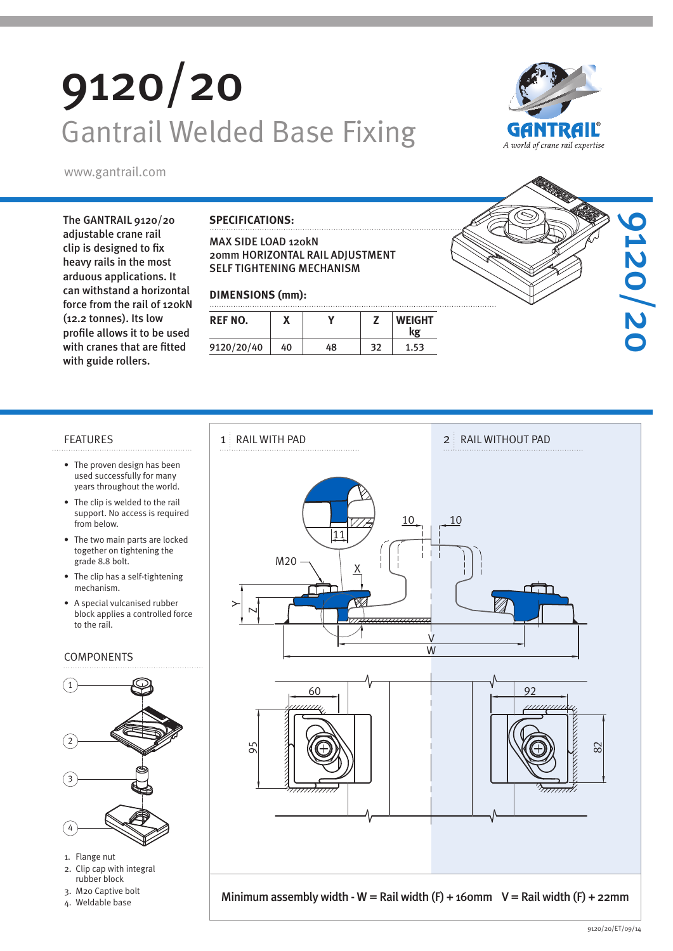# 9120/20 Gantrail Welded Base Fixing



www.gantrail.com

The GANTRAIL 9120/20 adjustable crane rail clip is designed to fix heavy rails in the most arduous applications. It can withstand a horizontal force from the rail of 120kN (12.2 tonnes). Its low profile allows it to be used with cranes that are fitted with guide rollers.

#### **SPECIFICATIONS:**

MAX SIDE LOAD 120kN 20mm HORIZONTAL RAIL ADJUSTMENT SELF TIGHTENING MECHANISM

#### **DIMENSIONS (mm):**

| <b>REF NO.</b> |    |    |    | <b>WEIGHT</b><br>kg |
|----------------|----|----|----|---------------------|
| 9120/20/40     | 40 | 48 | 32 | 1.53                |



- The proven design has been used successfully for many years throughout the world.
- The clip is welded to the rail support. No access is required from below.
- The two main parts are locked together on tightening the grade 8.8 bolt.
- The clip has a self-tightening mechanism.
- A special vulcanised rubber block applies a controlled force to the rail.

#### COMPONENTS



- 1. Flange nut
- 2. Clip cap with integral rubber block
- 3. M20 Captive bolt
- 4. Weldable base